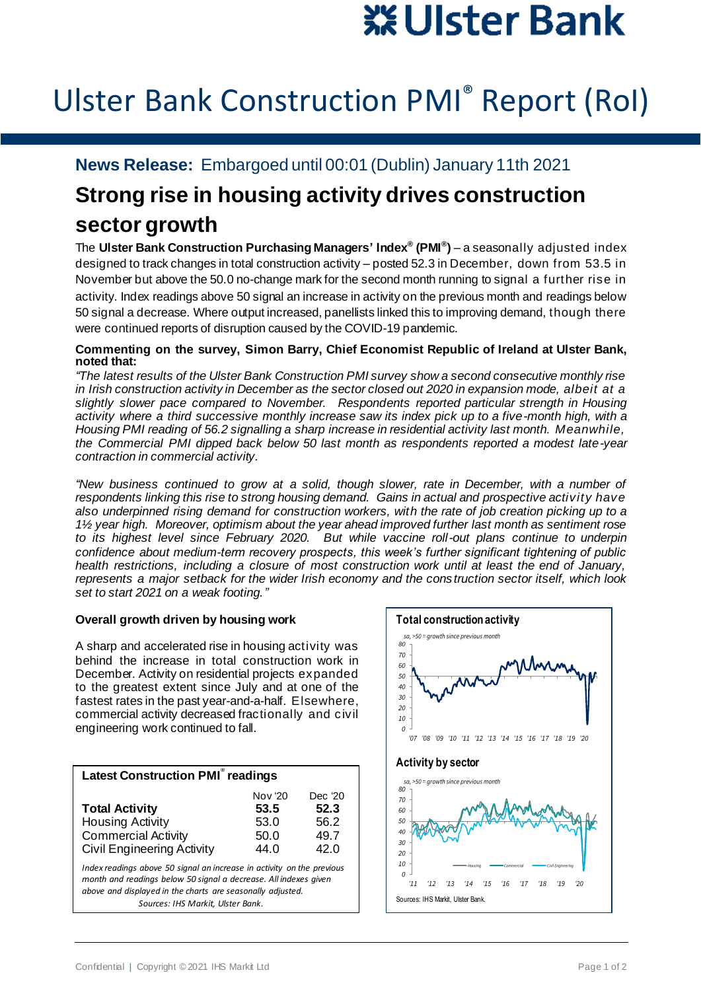# ※ Ulster Bank

## Ulster Bank Construction PMI® Report (RoI)

### **News Release:** Embargoed until 00:01 (Dublin) January 11th 2021

## **Strong rise in housing activity drives construction sector growth**

The **Ulster Bank Construction Purchasing Managers' Index® (PMI® )** – a seasonally adjusted index designed to track changes in total construction activity – posted 52.3 in December, down from 53.5 in November but above the 50.0 no-change mark for the second month running to signal a further rise in activity. Index readings above 50 signal an increase in activity on the previous month and readings below 50 signal a decrease. Where output increased, panellists linked this to improving demand, though there were continued reports of disruption caused by the COVID-19 pandemic.

#### **Commenting on the survey, Simon Barry, Chief Economist Republic of Ireland at Ulster Bank, noted that:**

*"The latest results of the Ulster Bank Construction PMI survey show a second consecutive monthly rise in Irish construction activity in December as the sector closed out 2020 in expansion mode, albeit at a slightly slower pace compared to November. Respondents reported particular strength in Housing activity where a third successive monthly increase saw its index pick up to a five-month high, with a Housing PMI reading of 56.2 signalling a sharp increase in residential activity last month. Meanwhile, the Commercial PMI dipped back below 50 last month as respondents reported a modest late-year contraction in commercial activity.*

*"New business continued to grow at a solid, though slower, rate in December, with a number of respondents linking this rise to strong housing demand. Gains in actual and prospective activity have also underpinned rising demand for construction workers, with the rate of job creation picking up to a 1½ year high. Moreover, optimism about the year ahead improved further last month as sentiment rose to its highest level since February 2020. But while vaccine roll-out plans continue to underpin confidence about medium-term recovery prospects, this week's further significant tightening of public health restrictions, including a closure of most construction work until at least the end of January, represents a major setback for the wider Irish economy and the construction sector itself, which look set to start 2021 on a weak footing."*

#### **Overall growth driven by housing work**

A sharp and accelerated rise in housing activity was behind the increase in total construction work in December. Activity on residential projects expanded to the greatest extent since July and at one of the fastest rates in the past year-and-a-half. Elsewhere, commercial activity decreased fractionally and civil engineering work continued to fall.

| <b>Latest Construction PMI<sup>®</sup> readings</b>                                                                                                                                                                                           |                                         |                                         |
|-----------------------------------------------------------------------------------------------------------------------------------------------------------------------------------------------------------------------------------------------|-----------------------------------------|-----------------------------------------|
| <b>Total Activity</b><br><b>Housing Activity</b><br><b>Commercial Activity</b><br><b>Civil Engineering Activity</b>                                                                                                                           | Nov '20<br>53.5<br>53.0<br>50.0<br>44.0 | Dec '20<br>52.3<br>56.2<br>49.7<br>42.0 |
| Index readings above 50 signal an increase in activity on the previous<br>month and readings below 50 signal a decrease. All indexes given<br>above and displayed in the charts are seasonally adjusted.<br>Sources: IHS Markit, Ulster Bank. |                                         |                                         |